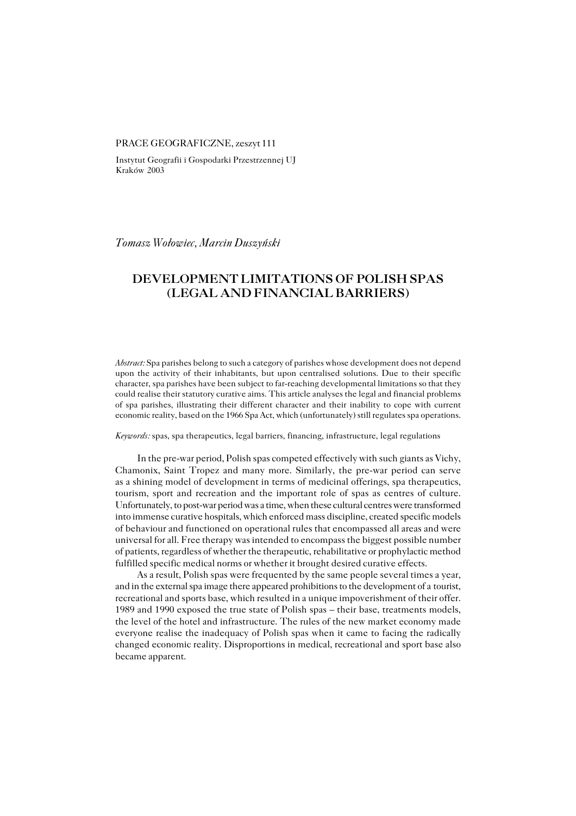#### PRACE GEOGRAFICZNE, zeszyt 111

Instytut Geografii i Gospodarki Przestrzennej UJ Kraków 2003

*Tomasz Wołowiec, Marcin Duszyński*

# **DEVELOPMENT LIMITATIONS OF POLISH SPAS (LEGAL AND FINANCIAL BARRIERS)**

*Abstract:* Spa parishes belong to such a category of parishes whose development does not depend upon the activity of their inhabitants, but upon centralised solutions. Due to their specific character, spa parishes have been subject to far−reaching developmental limitations so that they could realise their statutory curative aims. This article analyses the legal and financial problems of spa parishes, illustrating their different character and their inability to cope with current economic reality, based on the 1966 Spa Act, which (unfortunately) still regulates spa operations.

*Keywords:* spas, spa therapeutics, legal barriers, financing, infrastructure, legal regulations

In the pre−war period, Polish spas competed effectively with such giants as Vichy, Chamonix, Saint Tropez and many more. Similarly, the pre−war period can serve as ashining model of development in terms of medicinal offerings, spa therapeutics, tourism, sport and recreation and the important role of spas as centres of culture. Unfortunately, to post−war period was a time, when these cultural centres were transformed into immense curative hospitals, which enforced mass discipline, created specific models of behaviour and functioned on operational rules that encompassed all areas and were universal for all. Free therapy was intended to encompass the biggest possible number of patients, regardless of whether the therapeutic, rehabilitative or prophylactic method fulfilled specific medical norms or whether it brought desired curative effects.

As a result, Polish spas were frequented by the same people several times a year, and in the external spa image there appeared prohibitions to the development of atourist, recreational and sports base, which resulted in a unique impoverishment of their offer. 1989 and 1990 exposed the true state of Polish spas – their base, treatments models, the level of the hotel and infrastructure. The rules of the new market economy made everyone realise the inadequacy of Polish spas when it came to facing the radically changed economic reality. Disproportions in medical, recreational and sport base also became apparent.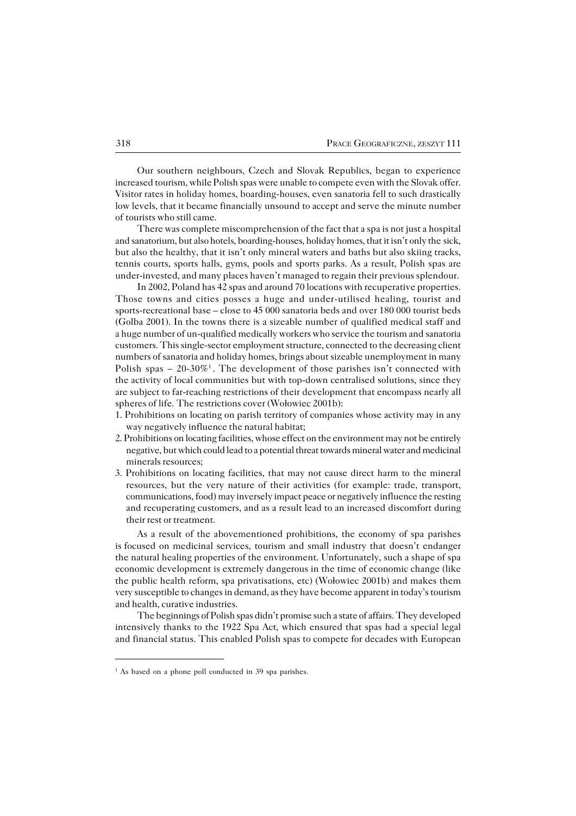Our southern neighbours, Czech and Slovak Republics, began to experience increased tourism, while Polish spas were unable to compete even with the Slovak offer. Visitor rates in holiday homes, boarding−houses, even sanatoria fell to such drastically low levels, that it became financially unsound to accept and serve the minute number of tourists who still came.

There was complete miscomprehension of the fact that a spa is not just a hospital and sanatorium, but also hotels, boarding−houses, holiday homes, that it isn't only thesick, but also the healthy, that it isn't only mineral waters and baths but also skiing tracks, tennis courts, sports halls, gyms, pools and sports parks. As a result, Polish spas are under−invested, and many places haven't managed to regain their previous splendour.

In 2002, Poland has 42 spas and around 70 locations with recuperative properties. Those towns and cities posses a huge and under−utilised healing, tourist and sports−recreational base – close to 45 000 sanatoria beds and over 180 000 tourist beds (Golba 2001). In the towns there is a sizeable number of qualified medical staff and a huge number of un−qualified medically workers who service the tourism and sanatoria customers. This single−sector employment structure, connected to the decreasing client numbers of sanatoria and holiday homes, brings about sizeable unemployment in many Polish spas – 20-30%<sup>1</sup>. The development of those parishes isn't connected with the activity of local communities but with top-down centralised solutions, since they aresubject to far−reaching restrictions of their development that encompass nearly all spheres of life. The restrictions cover (Wołowiec 2001b):

- 1. Prohibitions on locating on parish territory of companies whose activity may in any way negatively influence the natural habitat;
- 2. Prohibitions on locating facilities, whose effect on the environment may not be entirely negative, but which could lead to a potential threat towards mineral water and medicinal minerals resources;
- 3. Prohibitions on locating facilities, that may not cause direct harm to the mineral resources, but the very nature of their activities (for example: trade, transport, communications, food) may inversely impact peace or negatively influence the resting and recuperating customers, and as a result lead to an increased discomfort during their rest or treatment.

As a result of the abovementioned prohibitions, the economy of spa parishes isfocused on medicinal services, tourism and small industry that doesn't endanger the natural healing properties of the environment. Unfortunately, such a shape of spa economic development is extremely dangerous in the time of economic change (like the public health reform, spa privatisations, etc) (Wołowiec 2001b) and makes them very susceptible to changes in demand, as they have become apparent in today's tourism and health, curative industries.

The beginnings of Polish spas didn't promise such a state of affairs. They developed intensively thanks to the 1922 Spa Act, which ensured that spas had a special legal andfinancial status. This enabled Polish spas to compete for decades with European

<sup>&</sup>lt;sup>1</sup> As based on a phone poll conducted in 39 spa parishes.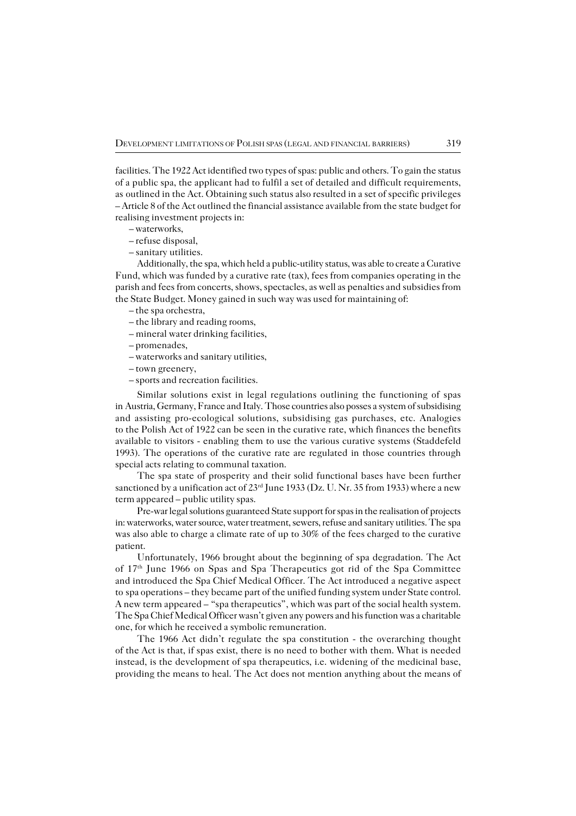facilities. The 1922 Act identified two types of spas: public and others. To gain the status of a public spa, the applicant had to fulfil a set of detailed and difficult requirements, as outlined in the Act. Obtaining such status also resulted in a set of specific privileges – Article 8 of the Act outlined the financial assistance available from the state budget for realising investment projects in:

- waterworks,
- refuse disposal,
- sanitary utilities.

Additionally, the spa, which held a public−utility status, was able to create a Curative Fund, which was funded by a curative rate (tax), fees from companies operating in the parish and fees from concerts, shows, spectacles, as well as penalties and subsidies from the State Budget. Money gained in such way was used for maintaining of:

– the spa orchestra,

- the library and reading rooms,
- mineral water drinking facilities,
- promenades,
- waterworks and sanitary utilities,
- town greenery,
- sports and recreation facilities.

Similar solutions exist in legal regulations outlining the functioning of spas inAustria, Germany, France and Italy. Those countries also posses a system of subsidising and assisting pro−ecological solutions, subsidising gas purchases, etc. Analogies to the Polish Act of 1922 can be seen in the curative rate, which finances the benefits available to visitors − enabling them to use the various curative systems (Staddefeld 1993). The operations of the curative rate are regulated in those countries through special acts relating to communal taxation.

The spa state of prosperity and their solid functional bases have been further sanctioned by a unification act of  $23<sup>rd</sup>$  June 1933 (Dz. U. Nr. 35 from 1933) where a new term appeared – public utility spas.

Pre−war legal solutions guaranteed State support for spas in the realisation of projects in: waterworks, water source, water treatment, sewers, refuse and sanitary utilities. The spa was also able to charge a climate rate of up to 30% of the fees charged to the curative patient.

Unfortunately, 1966 brought about the beginning of spa degradation. The Act of 17th June 1966 on Spas and Spa Therapeutics got rid of the Spa Committee andintroduced the Spa Chief Medical Officer. The Act introduced a negative aspect tospa operations – they became part of the unified funding system under State control. A new term appeared – "spa therapeutics", which was part of the social health system. The Spa Chief Medical Officer wasn't given any powers and his function was a charitable one, for which he received a symbolic remuneration.

The 1966 Act didn't regulate the spa constitution − the overarching thought of the Act is that, if spas exist, there is no need to bother with them. What is needed instead, is the development of spa therapeutics, i.e. widening of the medicinal base, providing the means to heal. The Act does not mention anything about the means of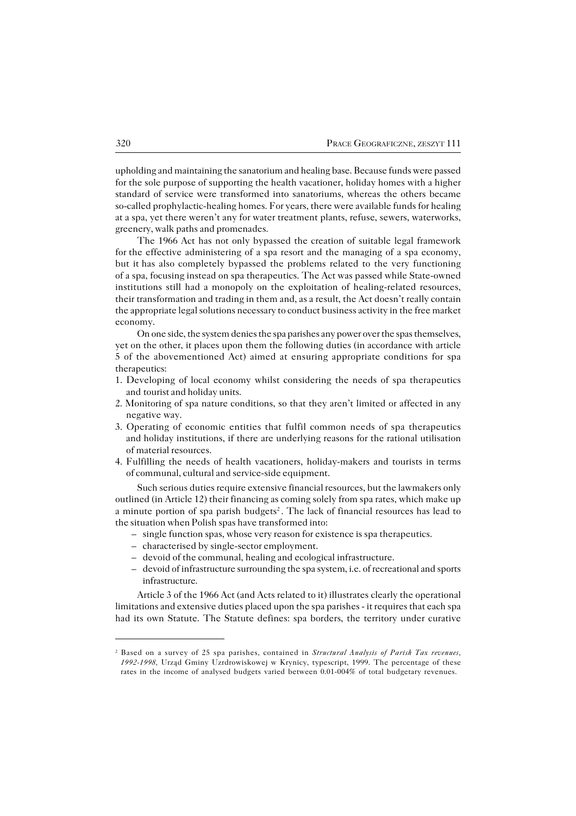upholding and maintaining the sanatorium and healing base. Because funds were passed for the sole purpose of supporting the health vacationer, holiday homes with a higher standard of service were transformed into sanatoriums, whereas the others became so−called prophylactic−healing homes. For years, there were available funds for healing at a spa, yet there weren't any for water treatment plants, refuse, sewers, waterworks, greenery, walk paths and promenades.

The 1966 Act has not only bypassed the creation of suitable legal framework forthe effective administering of a spa resort and the managing of a spa economy, but ithas also completely bypassed the problems related to the very functioning of a spa, focusing instead on spa therapeutics. The Act was passed while State−owned institutions still had a monopoly on the exploitation of healing−related resources, their transformation and trading in them and, as a result, the Act doesn't really contain the appropriate legal solutions necessary to conduct business activity in the free market economy.

On one side, the system denies the spa parishes any power over the spas themselves, yet on the other, it places upon them the following duties (in accordance with article 5 of the abovementioned Act) aimed at ensuring appropriate conditions for spa therapeutics:

- 1. Developing of local economy whilst considering the needs of spa therapeutics and tourist and holiday units.
- 2. Monitoring of spa nature conditions, so that they aren't limited or affected in any negative way.
- 3. Operating of economic entities that fulfil common needs of spa therapeutics and holiday institutions, if there are underlying reasons for the rational utilisation of material resources.
- 4. Fulfilling the needs of health vacationers, holiday−makers and tourists in terms of communal, cultural and service−side equipment.

Such serious duties require extensive financial resources, but the lawmakers only outlined (in Article 12) their financing as coming solely from spa rates, which make up a minute portion of spa parish budgets<sup>2</sup>. The lack of financial resources has lead to the situation when Polish spas have transformed into:

- single function spas, whose very reason for existence is spa therapeutics.
- characterised by single−sector employment.
- devoid of the communal, healing and ecological infrastructure.
- devoid of infrastructure surrounding the spa system, i.e. of recreational and sports infrastructure.

Article 3 of the 1966 Act (and Acts related to it) illustrates clearly the operational limitations and extensive duties placed upon the spa parishes − it requires that each spa had its own Statute. The Statute defines: spa borders, the territory under curative

<sup>2</sup> Based on a survey of 25 spa parishes, contained in *Structural Analysis of Parish Tax revenues, 1992−1998,* Urząd Gminy Uzrdrowiskowej w Krynicy, typescript, 1999. The percentage of these rates in the income of analysed budgets varied between 0.01−004% of total budgetary revenues.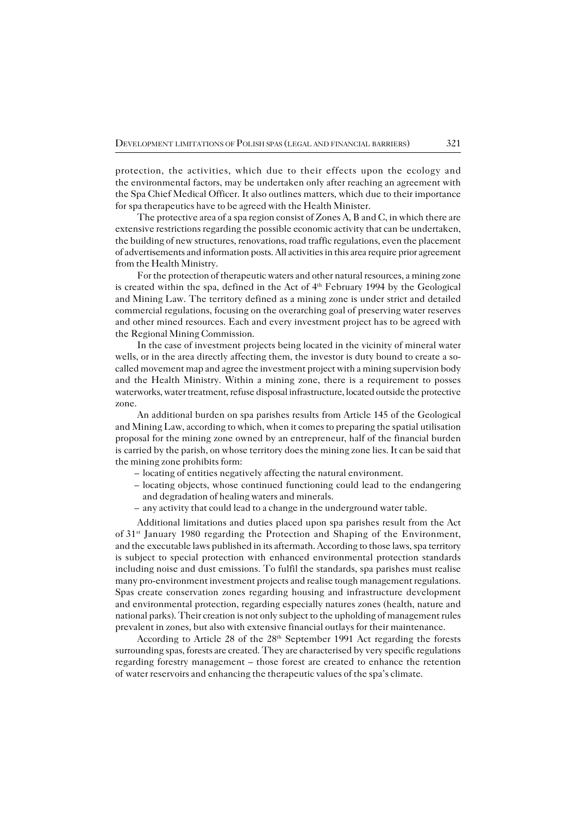protection, the activities, which due to their effects upon the ecology and the environmental factors, may be undertaken only after reaching an agreement with the Spa Chief Medical Officer. It also outlines matters, which due to their importance for spa therapeutics have to be agreed with the Health Minister.

The protective area of a spa region consist of Zones A, B and C, in which there are extensive restrictions regarding the possible economic activity that can be undertaken, the building of new structures, renovations, road traffic regulations, even the placement of advertisements and information posts. All activities in this area require prior agreement from the Health Ministry.

For the protection of therapeutic waters and other natural resources, a mining zone is created within the spa, defined in the Act of 4<sup>th</sup> February 1994 by the Geological and Mining Law. The territory defined as a mining zone is under strict and detailed commercial regulations, focusing on the overarching goal of preserving water reserves and other mined resources. Each and every investment project has to be agreed with the Regional Mining Commission.

In the case of investment projects being located in the vicinity of mineral water wells, or in the area directly affecting them, the investor is duty bound to create a socalled movement map and agree the investment project with a mining supervision body and the Health Ministry. Within a mining zone, there is a requirement to posses waterworks, water treatment, refuse disposal infrastructure, located outside the protective zone.

An additional burden on spa parishes results from Article 145 of the Geological and Mining Law, according to which, when it comes to preparing the spatial utilisation proposal for the mining zone owned by an entrepreneur, half of the financial burden is carried by the parish, on whose territory does the mining zone lies. It can be said that the mining zone prohibits form:

- locating of entities negatively affecting the natural environment.
- locating objects, whose continued functioning could lead to the endangering and degradation of healing waters and minerals.
- any activity that could lead to a change in the underground water table.

Additional limitations and duties placed upon spa parishes result from the Act of 31<sup>st</sup> January 1980 regarding the Protection and Shaping of the Environment, and the executable laws published in its aftermath. According to those laws, spa territory is subject to special protection with enhanced environmental protection standards including noise and dust emissions. To fulfil the standards, spa parishes must realise many pro−environment investment projects and realise tough management regulations. Spas create conservation zones regarding housing and infrastructure development andenvironmental protection, regarding especially natures zones (health, nature and national parks). Their creation is not only subject to the upholding of management rules prevalent in zones, but also with extensive financial outlays for their maintenance.

According to Article 28 of the 28th September 1991 Act regarding the forests surrounding spas, forests are created. They are characterised by very specific regulations regarding forestry management – those forest are created to enhance the retention ofwater reservoirs and enhancing the therapeutic values of the spa's climate.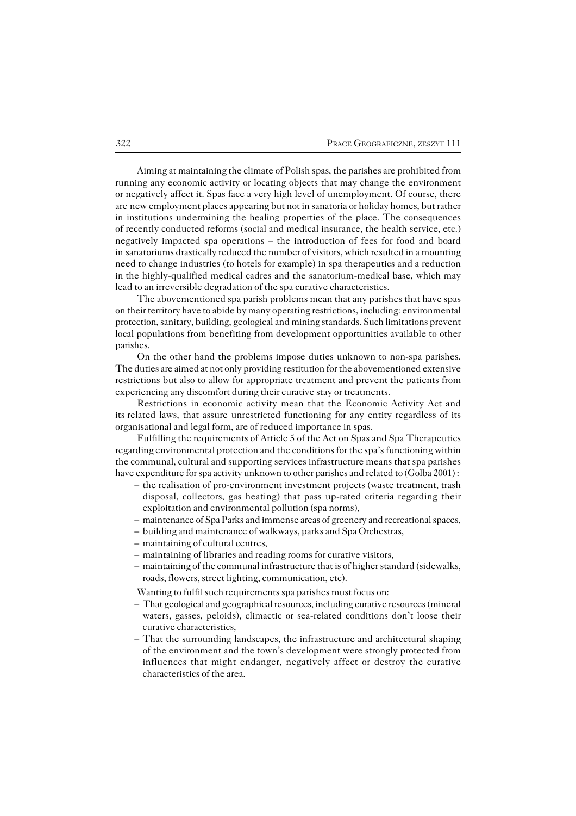Aiming at maintaining the climate of Polish spas, the parishes are prohibited from running any economic activity or locating objects that may change the environment ornegatively affect it. Spas face a very high level of unemployment. Of course, there are new employment places appearing but not in sanatoria or holiday homes, but rather in institutions undermining the healing properties of the place. The consequences ofrecently conducted reforms (social and medical insurance, the health service, etc.) negatively impacted spa operations – the introduction of fees for food and board in sanatoriums drastically reduced the number of visitors, which resulted in a mounting need to change industries (to hotels for example) in spa therapeutics and a reduction inthe highly−qualified medical cadres and the sanatorium−medical base, which may lead to an irreversible degradation of the spa curative characteristics.

The abovementioned spa parish problems mean that any parishes that have spas on their territory have to abide by many operating restrictions, including: environmental protection, sanitary, building, geological and mining standards. Such limitations prevent local populations from benefiting from development opportunities available to other parishes.

On the other hand the problems impose duties unknown to non−spa parishes. The duties are aimed at not only providing restitution for the abovementioned extensive restrictions but also to allow for appropriate treatment and prevent the patients from experiencing any discomfort during their curative stay or treatments.

Restrictions in economic activity mean that the Economic Activity Act and its related laws, that assure unrestricted functioning for any entity regardless of its organisational and legal form, are of reduced importance in spas.

Fulfilling the requirements of Article 5 of the Act on Spas and Spa Therapeutics regarding environmental protection and the conditions for the spa's functioning within the communal, cultural and supporting services infrastructure means that spa parishes have expenditure for spa activity unknown to other parishes and related to (Golba 2001) :

- the realisation of pro−environment investment projects (waste treatment, trash disposal, collectors, gas heating) that pass up−rated criteria regarding their exploitation and environmental pollution (spa norms),
- maintenance of Spa Parks and immense areas of greenery and recreational spaces,
- building and maintenance of walkways, parks and Spa Orchestras,
- maintaining of cultural centres,
- maintaining of libraries and reading rooms for curative visitors,
- maintaining of the communal infrastructure that is of higher standard (sidewalks, roads, flowers, street lighting, communication, etc).

Wanting to fulfil such requirements spa parishes must focus on:

- That geological and geographical resources, including curative resources (mineral waters, gasses, peloids), climactic or sea−related conditions don't loose their curative characteristics,
- That the surrounding landscapes, the infrastructure and architectural shaping of the environment and the town's development were strongly protected from influences that might endanger, negatively affect or destroy the curative characteristics of the area.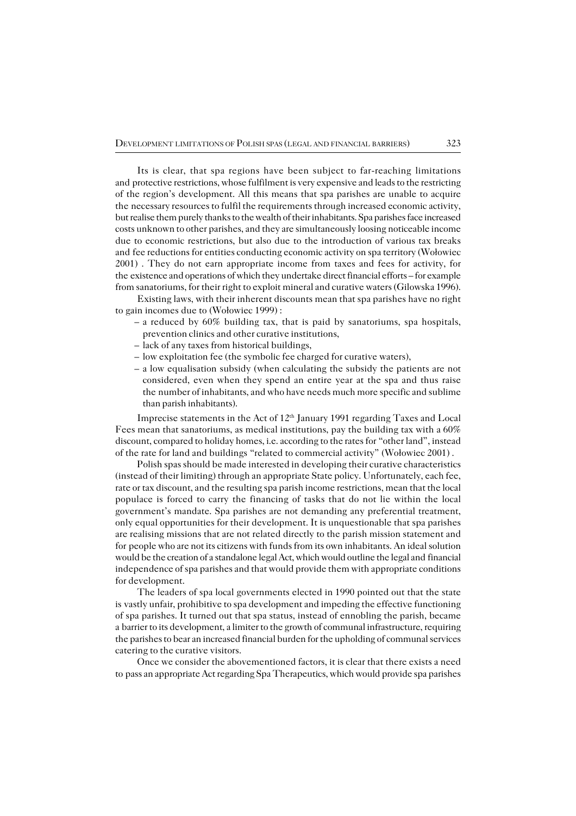Its is clear, that spa regions have been subject to far−reaching limitations and protective restrictions, whose fulfilment is very expensive and leads to the restricting of the region's development. All this means that spa parishes are unable to acquire the necessary resources to fulfil the requirements through increased economic activity, but realise them purely thanks to the wealth of their inhabitants. Spa parishes face increased costs unknown to other parishes, and they are simultaneously loosing noticeable income due to economic restrictions, but also due to the introduction of various tax breaks andfee reductions for entities conducting economic activity on spa territory (Wołowiec 2001) . They do not earn appropriate income from taxes and fees for activity, for the existence and operations of which they undertake direct financial efforts – for example from sanatoriums, for their right to exploit mineral and curative waters (Gilowska 1996).

Existing laws, with their inherent discounts mean that spa parishes have no right to gain incomes due to (Wołowiec 1999) :

- a reduced by 60% building tax, that is paid by sanatoriums, spa hospitals, prevention clinics and other curative institutions,
- lack of any taxes from historical buildings,
- low exploitation fee (the symbolic fee charged for curative waters),
- a low equalisation subsidy (when calculating the subsidy the patients are not considered, even when they spend an entire year at the spa and thus raise the number of inhabitants, and who have needs much more specific and sublime than parish inhabitants).

Imprecise statements in the Act of 12<sup>th</sup> January 1991 regarding Taxes and Local Fees mean that sanatoriums, as medical institutions, pay the building tax with a 60% discount, compared to holiday homes, i.e. according to the rates for "other land", instead of the rate for land and buildings "related to commercial activity" (Wołowiec 2001) .

Polish spas should be made interested in developing their curative characteristics (instead of their limiting) through an appropriate State policy. Unfortunately, each fee, rate or tax discount, and the resulting spa parish income restrictions, mean that the local populace is forced to carry the financing of tasks that do not lie within the local government's mandate. Spa parishes are not demanding any preferential treatment, only equal opportunities for their development. It is unquestionable that spa parishes are realising missions that are not related directly to the parish mission statement and for people who are not its citizens with funds from its own inhabitants. An ideal solution would be the creation of a standalone legal Act, which would outline the legal andfinancial independence of spa parishes and that would provide them with appropriate conditions for development.

The leaders of spa local governments elected in 1990 pointed out that the state is vastly unfair, prohibitive to spa development and impeding the effective functioning of spa parishes. It turned out that spa status, instead of ennobling the parish, became abarrier to its development, a limiter to the growth of communal infrastructure, requiring the parishes to bear an increased financial burden for the upholding of communal services catering to the curative visitors.

Once we consider the abovementioned factors, it is clear that there exists a need topass an appropriate Act regarding Spa Therapeutics, which would provide spa parishes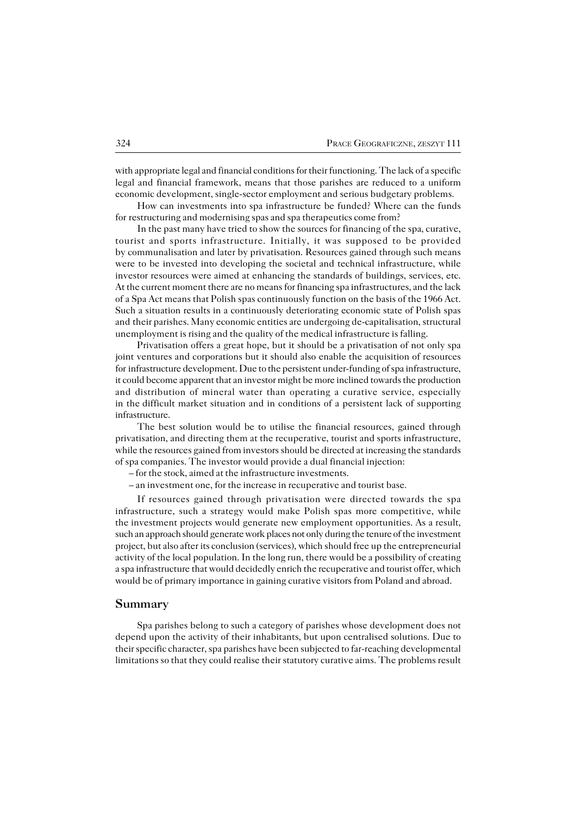with appropriate legal and financial conditions for their functioning. The lack of a specific legal and financial framework, means that those parishes are reduced to a uniform economic development, single−sector employment and serious budgetary problems.

How can investments into spa infrastructure be funded? Where can the funds for restructuring and modernising spas and spa therapeutics come from?

In the past many have tried to show the sources for financing of the spa, curative, tourist and sports infrastructure. Initially, it was supposed to be provided bycommunalisation and later by privatisation. Resources gained through such means were to be invested into developing the societal and technical infrastructure, while investor resources were aimed at enhancing the standards of buildings, services, etc. At the current moment there are no means for financing spa infrastructures, and the lack of a Spa Act means that Polish spas continuously function on the basis of the 1966 Act. Such a situation results in a continuously deteriorating economic state of Polish spas and their parishes. Many economic entities are undergoing de-capitalisation, structural unemployment is rising and the quality of the medical infrastructure is falling.

Privatisation offers a great hope, but it should be a privatisation of not only spa joint ventures and corporations but it should also enable the acquisition of resources forinfrastructure development. Due to the persistent under−funding of spa infrastructure, it could become apparent that an investor might be more inclined towards the production and distribution of mineral water than operating a curative service, especially in the difficult market situation and in conditions of a persistent lack of supporting infrastructure.

The best solution would be to utilise the financial resources, gained through privatisation, and directing them at the recuperative, tourist and sports infrastructure, while the resources gained from investors should be directed at increasing the standards of spa companies. The investor would provide a dual financial injection:

– for the stock, aimed at the infrastructure investments.

– an investment one, for the increase in recuperative and tourist base.

If resources gained through privatisation were directed towards the spa infrastructure, such a strategy would make Polish spas more competitive, while the investment projects would generate new employment opportunities. As a result, such an approach should generate work places not only during the tenure of the investment project, but also after its conclusion (services), which should free up the entrepreneurial activity of the local population. In the long run, there would be a possibility of creating a spa infrastructure that would decidedly enrich the recuperative and tourist offer, which would be of primary importance in gaining curative visitors from Poland and abroad.

### **Summary**

Spa parishes belong to such a category of parishes whose development does not depend upon the activity of their inhabitants, but upon centralised solutions. Due to their specific character, spa parishes have been subjected to far−reaching developmental limitations so that they could realise their statutory curative aims. The problems result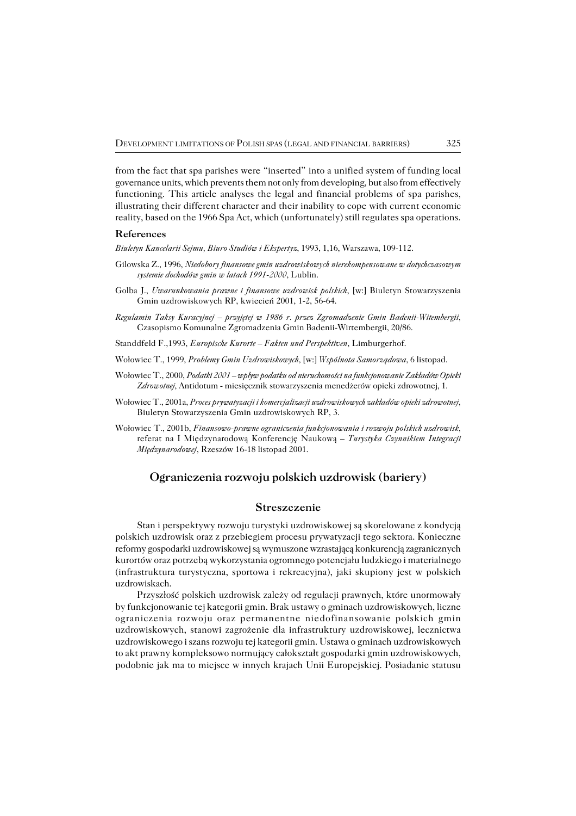from the fact that spa parishes were "inserted" into a unified system of funding local governance units, which prevents them not only from developing, but also from effectively functioning. This article analyses the legal and financial problems of spa parishes, illustrating their different character and their inability to cope with current economic reality, based on the 1966 Spa Act, which (unfortunately) still regulates spa operations.

#### **References**

*Biuletyn Kancelarii Sejmu, Biuro Studiów i Ekspertyz*, 1993, 1,16, Warszawa, 109−112.

- Gilowska Z., 1996, *Niedobory finansowe gmin uzdrowiskowych nierekompensowane w dotychczasowym systemie dochodów gmin w latach 1991−2000*, Lublin.
- Golba J., *Uwarunkowania prawne i finansowe uzdrowisk polskich*, [w:] Biuletyn Stowarzyszenia Gmin uzdrowiskowych RP, kwiecień 2001, 1−2, 56−64.
- *Regulamin Taksy Kuracyjnej przyjętej w 1986 r. przez Zgromadzenie Gmin Badenii−Witembergii*, Czasopismo Komunalne Zgromadzenia Gmin Badenii−Wirtembergii, 20/86.
- Standdfeld F.,1993, *Europische Kurorte Fakten und Perspektiven*, Limburgerhof.
- Wołowiec T., 1999, *Problemy Gmin Uzdrowiskowych,* [w:] *Wspólnota Samorządowa*, 6 listopad.
- Wołowiec T., 2000, *Podatki 2001 wpływ podatku od nieruchomości na funkcjonowanie Zakładów Opieki Zdrowotnej*, Antidotum − miesięcznik stowarzyszenia menedżerów opieki zdrowotnej, 1.
- Wołowiec T., 2001a, *Proces prywatyzacji i komercjalizacji uzdrowiskowych zakładów opieki zdrowotnej*, Biuletyn Stowarzyszenia Gmin uzdrowiskowych RP, 3.
- Wołowiec T., 2001b, *Finansowo−prawne ograniczenia funkcjonowania i rozwoju polskich uzdrowisk*, referat na I Międzynarodową Konferencję Naukową – *Turystyka Czynnikiem Integracji Międzynarodowej*, Rzeszów 16−18 listopad 2001.

## **Ograniczenia rozwoju polskich uzdrowisk (bariery)**

### **Streszczenie**

Stan i perspektywy rozwoju turystyki uzdrowiskowej są skorelowane z kondycją polskich uzdrowisk oraz z przebiegiem procesu prywatyzacji tego sektora. Konieczne reformy gospodarki uzdrowiskowej są wymuszone wzrastającą konkurencją zagranicznych kurortów oraz potrzebą wykorzystania ogromnego potencjału ludzkiego i materialnego (infrastruktura turystyczna, sportowa i rekreacyjna), jaki skupiony jest w polskich uzdrowiskach.

Przyszłość polskich uzdrowisk zależy od regulacji prawnych, które unormowały by funkcjonowanie tej kategorii gmin. Brak ustawy o gminach uzdrowiskowych, liczne ograniczenia rozwoju oraz permanentne niedofinansowanie polskich gmin uzdrowiskowych, stanowi zagrożenie dla infrastruktury uzdrowiskowej, lecznictwa uzdrowiskowego i szans rozwoju tej kategorii gmin. Ustawa o gminach uzdrowiskowych to akt prawny kompleksowo normujący całokształt gospodarki gmin uzdrowiskowych, podobnie jak ma to miejsce w innych krajach Unii Europejskiej. Posiadanie statusu